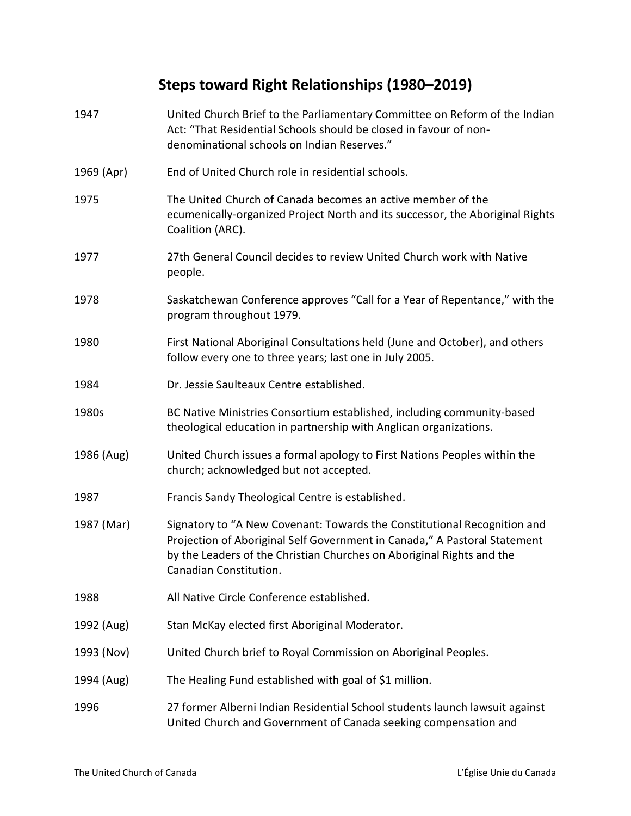## **Steps toward Right Relationships (1980–2019)**

| 1947       | United Church Brief to the Parliamentary Committee on Reform of the Indian<br>Act: "That Residential Schools should be closed in favour of non-<br>denominational schools on Indian Reserves."                                                           |
|------------|----------------------------------------------------------------------------------------------------------------------------------------------------------------------------------------------------------------------------------------------------------|
| 1969 (Apr) | End of United Church role in residential schools.                                                                                                                                                                                                        |
| 1975       | The United Church of Canada becomes an active member of the<br>ecumenically-organized Project North and its successor, the Aboriginal Rights<br>Coalition (ARC).                                                                                         |
| 1977       | 27th General Council decides to review United Church work with Native<br>people.                                                                                                                                                                         |
| 1978       | Saskatchewan Conference approves "Call for a Year of Repentance," with the<br>program throughout 1979.                                                                                                                                                   |
| 1980       | First National Aboriginal Consultations held (June and October), and others<br>follow every one to three years; last one in July 2005.                                                                                                                   |
| 1984       | Dr. Jessie Saulteaux Centre established.                                                                                                                                                                                                                 |
| 1980s      | BC Native Ministries Consortium established, including community-based<br>theological education in partnership with Anglican organizations.                                                                                                              |
| 1986 (Aug) | United Church issues a formal apology to First Nations Peoples within the<br>church; acknowledged but not accepted.                                                                                                                                      |
| 1987       | Francis Sandy Theological Centre is established.                                                                                                                                                                                                         |
| 1987 (Mar) | Signatory to "A New Covenant: Towards the Constitutional Recognition and<br>Projection of Aboriginal Self Government in Canada," A Pastoral Statement<br>by the Leaders of the Christian Churches on Aboriginal Rights and the<br>Canadian Constitution. |
| 1988       | All Native Circle Conference established.                                                                                                                                                                                                                |
| 1992 (Aug) | Stan McKay elected first Aboriginal Moderator.                                                                                                                                                                                                           |
| 1993 (Nov) | United Church brief to Royal Commission on Aboriginal Peoples.                                                                                                                                                                                           |
| 1994 (Aug) | The Healing Fund established with goal of \$1 million.                                                                                                                                                                                                   |
| 1996       | 27 former Alberni Indian Residential School students launch lawsuit against<br>United Church and Government of Canada seeking compensation and                                                                                                           |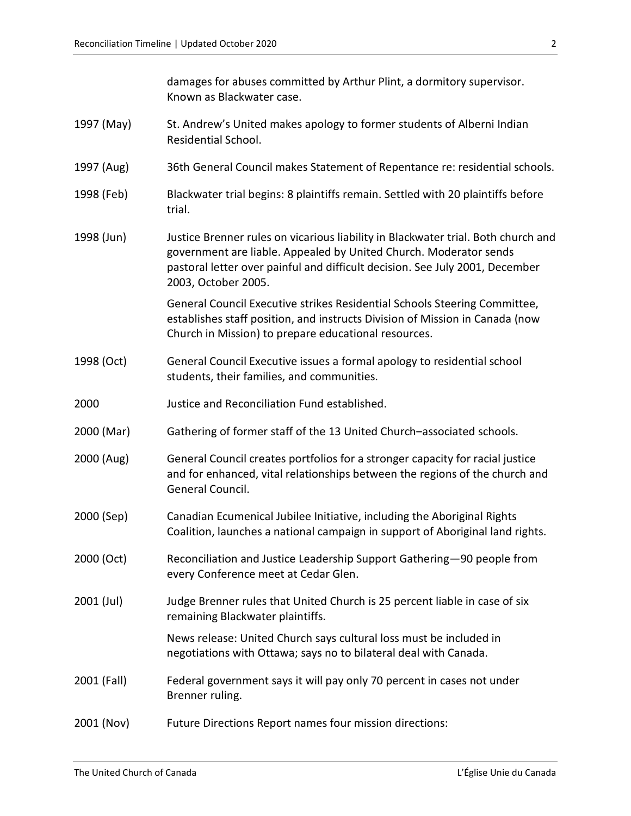|             | damages for abuses committed by Arthur Plint, a dormitory supervisor.<br>Known as Blackwater case.                                                                                                                                                            |
|-------------|---------------------------------------------------------------------------------------------------------------------------------------------------------------------------------------------------------------------------------------------------------------|
| 1997 (May)  | St. Andrew's United makes apology to former students of Alberni Indian<br>Residential School.                                                                                                                                                                 |
| 1997 (Aug)  | 36th General Council makes Statement of Repentance re: residential schools.                                                                                                                                                                                   |
| 1998 (Feb)  | Blackwater trial begins: 8 plaintiffs remain. Settled with 20 plaintiffs before<br>trial.                                                                                                                                                                     |
| 1998 (Jun)  | Justice Brenner rules on vicarious liability in Blackwater trial. Both church and<br>government are liable. Appealed by United Church. Moderator sends<br>pastoral letter over painful and difficult decision. See July 2001, December<br>2003, October 2005. |
|             | General Council Executive strikes Residential Schools Steering Committee,<br>establishes staff position, and instructs Division of Mission in Canada (now<br>Church in Mission) to prepare educational resources.                                             |
| 1998 (Oct)  | General Council Executive issues a formal apology to residential school<br>students, their families, and communities.                                                                                                                                         |
| 2000        | Justice and Reconciliation Fund established.                                                                                                                                                                                                                  |
| 2000 (Mar)  | Gathering of former staff of the 13 United Church-associated schools.                                                                                                                                                                                         |
| 2000 (Aug)  | General Council creates portfolios for a stronger capacity for racial justice<br>and for enhanced, vital relationships between the regions of the church and<br>General Council.                                                                              |
| 2000 (Sep)  | Canadian Ecumenical Jubilee Initiative, including the Aboriginal Rights<br>Coalition, launches a national campaign in support of Aboriginal land rights.                                                                                                      |
| 2000 (Oct)  | Reconciliation and Justice Leadership Support Gathering-90 people from<br>every Conference meet at Cedar Glen.                                                                                                                                                |
| 2001 (Jul)  | Judge Brenner rules that United Church is 25 percent liable in case of six<br>remaining Blackwater plaintiffs.                                                                                                                                                |
|             | News release: United Church says cultural loss must be included in<br>negotiations with Ottawa; says no to bilateral deal with Canada.                                                                                                                        |
| 2001 (Fall) | Federal government says it will pay only 70 percent in cases not under<br>Brenner ruling.                                                                                                                                                                     |
| 2001 (Nov)  | Future Directions Report names four mission directions:                                                                                                                                                                                                       |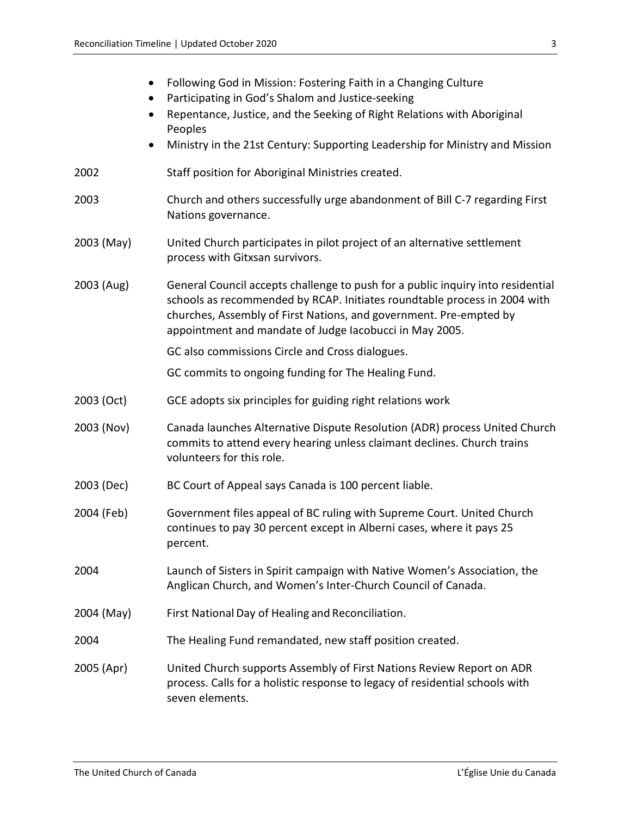| $\bullet$  | Following God in Mission: Fostering Faith in a Changing Culture<br>Participating in God's Shalom and Justice-seeking<br>Repentance, Justice, and the Seeking of Right Relations with Aboriginal<br>Peoples<br>Ministry in the 21st Century: Supporting Leadership for Ministry and Mission    |
|------------|-----------------------------------------------------------------------------------------------------------------------------------------------------------------------------------------------------------------------------------------------------------------------------------------------|
| 2002       | Staff position for Aboriginal Ministries created.                                                                                                                                                                                                                                             |
| 2003       | Church and others successfully urge abandonment of Bill C-7 regarding First<br>Nations governance.                                                                                                                                                                                            |
| 2003 (May) | United Church participates in pilot project of an alternative settlement<br>process with Gitxsan survivors.                                                                                                                                                                                   |
| 2003 (Aug) | General Council accepts challenge to push for a public inquiry into residential<br>schools as recommended by RCAP. Initiates roundtable process in 2004 with<br>churches, Assembly of First Nations, and government. Pre-empted by<br>appointment and mandate of Judge Iacobucci in May 2005. |
|            | GC also commissions Circle and Cross dialogues.                                                                                                                                                                                                                                               |
|            | GC commits to ongoing funding for The Healing Fund.                                                                                                                                                                                                                                           |
| 2003 (Oct) | GCE adopts six principles for guiding right relations work                                                                                                                                                                                                                                    |
| 2003 (Nov) | Canada launches Alternative Dispute Resolution (ADR) process United Church<br>commits to attend every hearing unless claimant declines. Church trains<br>volunteers for this role.                                                                                                            |
| 2003 (Dec) | BC Court of Appeal says Canada is 100 percent liable.                                                                                                                                                                                                                                         |
| 2004 (Feb) | Government files appeal of BC ruling with Supreme Court. United Church<br>continues to pay 30 percent except in Alberni cases, where it pays 25<br>percent.                                                                                                                                   |
| 2004       | Launch of Sisters in Spirit campaign with Native Women's Association, the<br>Anglican Church, and Women's Inter-Church Council of Canada.                                                                                                                                                     |
| 2004 (May) | First National Day of Healing and Reconciliation.                                                                                                                                                                                                                                             |
| 2004       | The Healing Fund remandated, new staff position created.                                                                                                                                                                                                                                      |
| 2005 (Apr) | United Church supports Assembly of First Nations Review Report on ADR<br>process. Calls for a holistic response to legacy of residential schools with<br>seven elements.                                                                                                                      |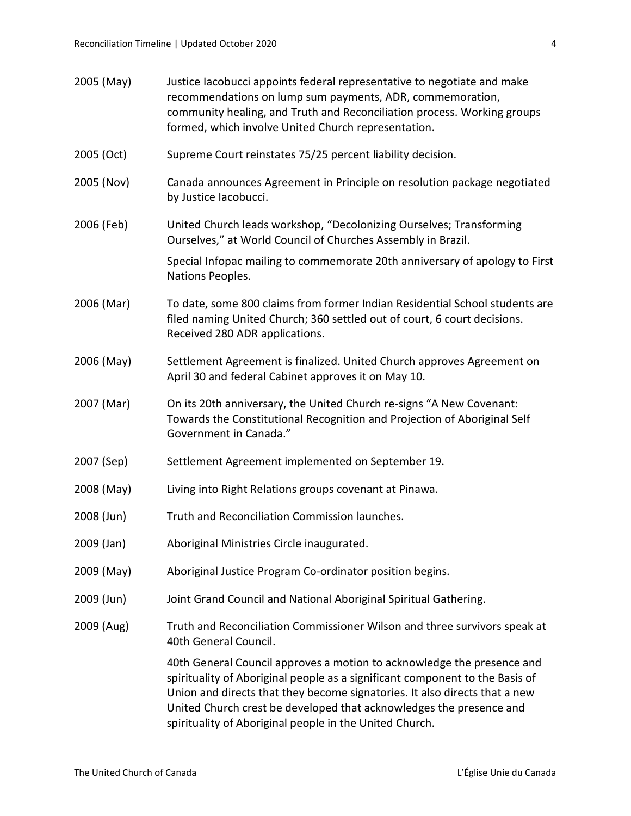| 2005 (May) | Justice lacobucci appoints federal representative to negotiate and make<br>recommendations on lump sum payments, ADR, commemoration,<br>community healing, and Truth and Reconciliation process. Working groups<br>formed, which involve United Church representation.                                                                                                 |
|------------|------------------------------------------------------------------------------------------------------------------------------------------------------------------------------------------------------------------------------------------------------------------------------------------------------------------------------------------------------------------------|
| 2005 (Oct) | Supreme Court reinstates 75/25 percent liability decision.                                                                                                                                                                                                                                                                                                             |
| 2005 (Nov) | Canada announces Agreement in Principle on resolution package negotiated<br>by Justice Iacobucci.                                                                                                                                                                                                                                                                      |
| 2006 (Feb) | United Church leads workshop, "Decolonizing Ourselves; Transforming<br>Ourselves," at World Council of Churches Assembly in Brazil.                                                                                                                                                                                                                                    |
|            | Special Infopac mailing to commemorate 20th anniversary of apology to First<br>Nations Peoples.                                                                                                                                                                                                                                                                        |
| 2006 (Mar) | To date, some 800 claims from former Indian Residential School students are<br>filed naming United Church; 360 settled out of court, 6 court decisions.<br>Received 280 ADR applications.                                                                                                                                                                              |
| 2006 (May) | Settlement Agreement is finalized. United Church approves Agreement on<br>April 30 and federal Cabinet approves it on May 10.                                                                                                                                                                                                                                          |
| 2007 (Mar) | On its 20th anniversary, the United Church re-signs "A New Covenant:<br>Towards the Constitutional Recognition and Projection of Aboriginal Self<br>Government in Canada."                                                                                                                                                                                             |
| 2007 (Sep) | Settlement Agreement implemented on September 19.                                                                                                                                                                                                                                                                                                                      |
| 2008 (May) | Living into Right Relations groups covenant at Pinawa.                                                                                                                                                                                                                                                                                                                 |
| 2008 (Jun) | Truth and Reconciliation Commission launches.                                                                                                                                                                                                                                                                                                                          |
| 2009 (Jan) | Aboriginal Ministries Circle inaugurated.                                                                                                                                                                                                                                                                                                                              |
| 2009 (May) | Aboriginal Justice Program Co-ordinator position begins.                                                                                                                                                                                                                                                                                                               |
| 2009 (Jun) | Joint Grand Council and National Aboriginal Spiritual Gathering.                                                                                                                                                                                                                                                                                                       |
| 2009 (Aug) | Truth and Reconciliation Commissioner Wilson and three survivors speak at<br>40th General Council.                                                                                                                                                                                                                                                                     |
|            | 40th General Council approves a motion to acknowledge the presence and<br>spirituality of Aboriginal people as a significant component to the Basis of<br>Union and directs that they become signatories. It also directs that a new<br>United Church crest be developed that acknowledges the presence and<br>spirituality of Aboriginal people in the United Church. |
|            |                                                                                                                                                                                                                                                                                                                                                                        |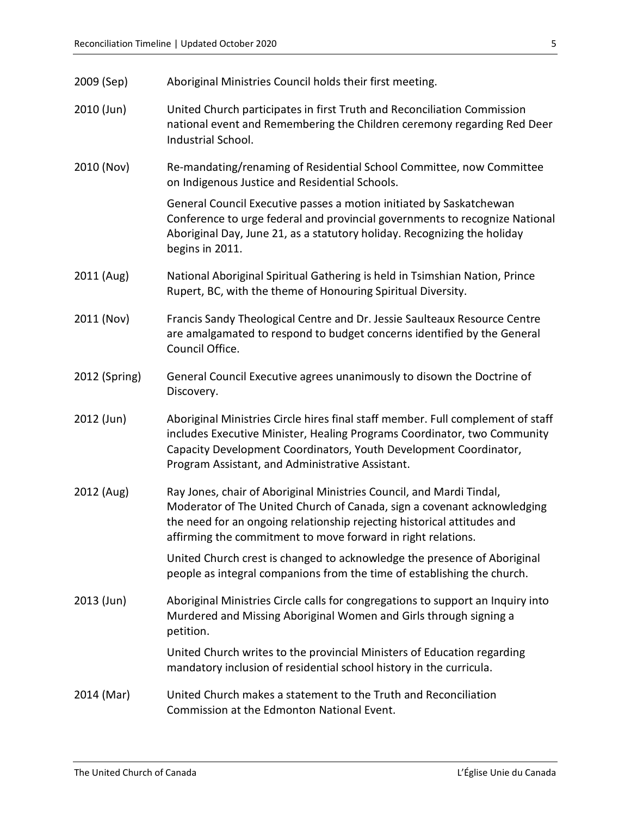| 2009 (Sep) | Aboriginal Ministries Council holds their first meeting. |
|------------|----------------------------------------------------------|
|------------|----------------------------------------------------------|

- 2010 (Jun) United Church participates in first Truth and Reconciliation Commission national event and Remembering the Children ceremony regarding Red Deer Industrial School.
- 2010 (Nov) Re-mandating/renaming of Residential School Committee, now Committee on Indigenous Justice and Residential Schools.

General Council Executive passes a motion initiated by Saskatchewan Conference to urge federal and provincial governments to recognize National Aboriginal Day, June 21, as a statutory holiday. Recognizing the holiday begins in 2011.

- 2011 (Aug) National Aboriginal Spiritual Gathering is held in Tsimshian Nation, Prince Rupert, BC, with the theme of Honouring Spiritual Diversity.
- 2011 (Nov) Francis Sandy Theological Centre and Dr. Jessie Saulteaux Resource Centre are amalgamated to respond to budget concerns identified by the General Council Office.
- 2012 (Spring) General Council Executive agrees unanimously to disown the Doctrine of Discovery.
- 2012 (Jun) Aboriginal Ministries Circle hires final staff member. Full complement of staff includes Executive Minister, Healing Programs Coordinator, two Community Capacity Development Coordinators, Youth Development Coordinator, Program Assistant, and Administrative Assistant.
- 2012 (Aug) Ray Jones, chair of Aboriginal Ministries Council, and Mardi Tindal, Moderator of The United Church of Canada, sign a covenant acknowledging the need for an ongoing relationship rejecting historical attitudes and affirming the commitment to move forward in right relations.

United Church crest is changed to acknowledge the presence of Aboriginal people as integral companions from the time of establishing the church.

2013 (Jun) Aboriginal Ministries Circle calls for congregations to support an Inquiry into Murdered and Missing Aboriginal Women and Girls through signing a petition.

> United Church writes to the provincial Ministers of Education regarding mandatory inclusion of residential school history in the curricula.

2014 (Mar) United Church makes a statement to the Truth and Reconciliation Commission at the Edmonton National Event.